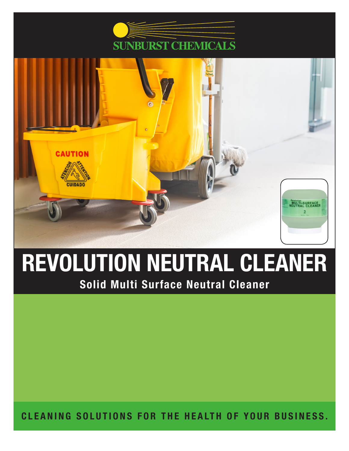



# REVOLUTION NEUTRAL CLEANER Solid Multi Surface Neutral Cleaner

CLEANING SOLUTIONS FOR THE HEALTH OF YOUR BUSINESS.